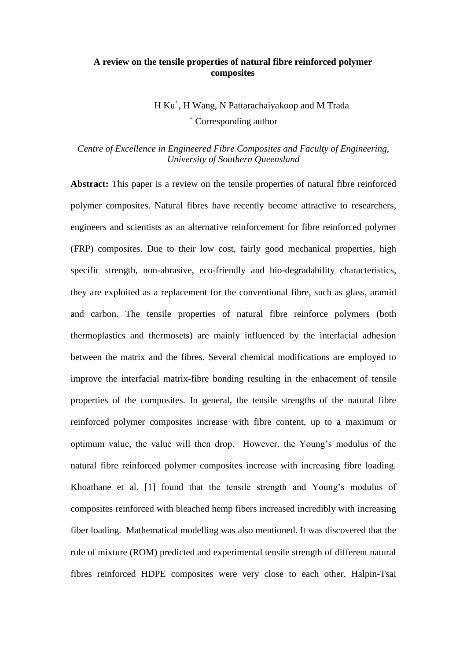#### **A review on the tensile properties of natural fibre reinforced polymer composites**

 H Ku<sup>+</sup> , H Wang, N Pattarachaiyakoop and M Trada <sup>+</sup> Corresponding author

### *Centre of Excellence in Engineered Fibre Composites and Faculty of Engineering, University of Southern Queensland*

**Abstract:** This paper is a review on the tensile properties of natural fibre reinforced polymer composites. Natural fibres have recently become attractive to researchers, engineers and scientists as an alternative reinforcement for fibre reinforced polymer (FRP) composites. Due to their low cost, fairly good mechanical properties, high specific strength, non-abrasive, eco-friendly and bio-degradability characteristics, they are exploited as a replacement for the conventional fibre, such as glass, aramid and carbon. The tensile properties of natural fibre reinforce polymers (both thermoplastics and thermosets) are mainly influenced by the interfacial adhesion between the matrix and the fibres. Several chemical modifications are employed to improve the interfacial matrix-fibre bonding resulting in the enhacement of tensile properties of the composites. In general, the tensile strengths of the natural fibre reinforced polymer composites increase with fibre content, up to a maximum or optimum value, the value will then drop. However, the Young's modulus of the natural fibre reinforced polymer composites increase with increasing fibre loading. Khoathane et al. [1] found that the tensile strength and Young's modulus of composites reinforced with bleached hemp fibers increased incredibly with increasing fiber loading. Mathematical modelling was also mentioned. It was discovered that the rule of mixture (ROM) predicted and experimental tensile strength of different natural fibres reinforced HDPE composites were very close to each other. Halpin-Tsai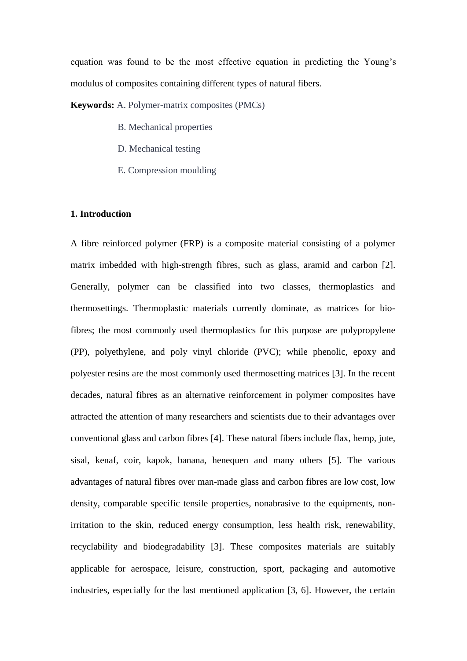equation was found to be the most effective equation in predicting the Young's modulus of composites containing different types of natural fibers.

**Keywords:** A. Polymer-matrix composites (PMCs)

- B. Mechanical properties
- D. Mechanical testing
- E. Compression moulding

#### **1. Introduction**

A fibre reinforced polymer (FRP) is a composite material consisting of a polymer matrix imbedded with high-strength fibres, such as glass, aramid and carbon [2]. Generally, polymer can be classified into two classes, thermoplastics and thermosettings. Thermoplastic materials currently dominate, as matrices for biofibres; the most commonly used thermoplastics for this purpose are polypropylene (PP), polyethylene, and poly vinyl chloride (PVC); while phenolic, epoxy and polyester resins are the most commonly used thermosetting matrices [3]. In the recent decades, natural fibres as an alternative reinforcement in polymer composites have attracted the attention of many researchers and scientists due to their advantages over conventional glass and carbon fibres [4]. These natural fibers include flax, hemp, jute, sisal, kenaf, coir, kapok, banana, henequen and many others [5]. The various advantages of natural fibres over man-made glass and carbon fibres are low cost, low density, comparable specific tensile properties, nonabrasive to the equipments, nonirritation to the skin, reduced energy consumption, less health risk, renewability, recyclability and biodegradability [3]. These composites materials are suitably applicable for aerospace, leisure, construction, sport, packaging and automotive industries, especially for the last mentioned application [3, 6]. However, the certain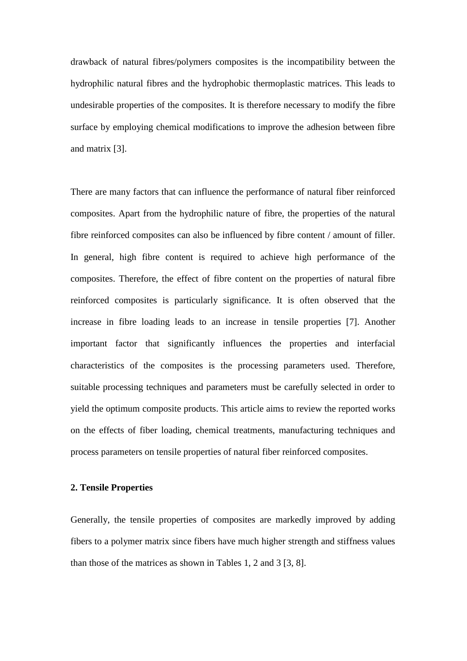drawback of natural fibres/polymers composites is the incompatibility between the hydrophilic natural fibres and the hydrophobic thermoplastic matrices. This leads to undesirable properties of the composites. It is therefore necessary to modify the fibre surface by employing chemical modifications to improve the adhesion between fibre and matrix [3].

There are many factors that can influence the performance of natural fiber reinforced composites. Apart from the hydrophilic nature of fibre, the properties of the natural fibre reinforced composites can also be influenced by fibre content / amount of filler. In general, high fibre content is required to achieve high performance of the composites. Therefore, the effect of fibre content on the properties of natural fibre reinforced composites is particularly significance. It is often observed that the increase in fibre loading leads to an increase in tensile properties [7]. Another important factor that significantly influences the properties and interfacial characteristics of the composites is the processing parameters used. Therefore, suitable processing techniques and parameters must be carefully selected in order to yield the optimum composite products. This article aims to review the reported works on the effects of fiber loading, chemical treatments, manufacturing techniques and process parameters on tensile properties of natural fiber reinforced composites.

#### **2. Tensile Properties**

Generally, the tensile properties of composites are markedly improved by adding fibers to a polymer matrix since fibers have much higher strength and stiffness values than those of the matrices as shown in Tables 1, 2 and 3 [3, 8].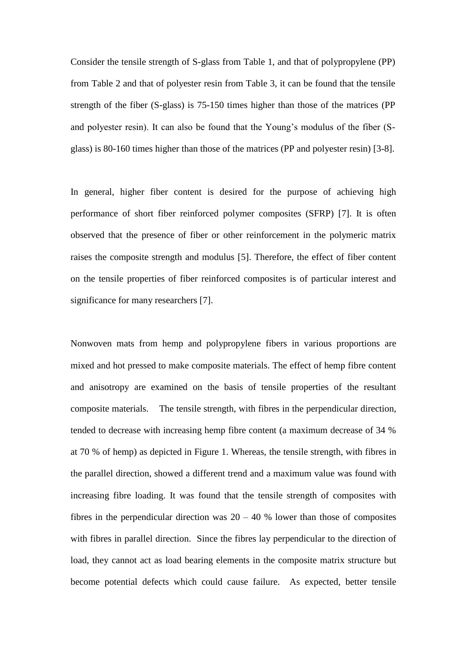Consider the tensile strength of S-glass from Table 1, and that of polypropylene (PP) from Table 2 and that of polyester resin from Table 3, it can be found that the tensile strength of the fiber (S-glass) is 75-150 times higher than those of the matrices (PP and polyester resin). It can also be found that the Young's modulus of the fiber (Sglass) is 80-160 times higher than those of the matrices (PP and polyester resin) [3-8].

In general, higher fiber content is desired for the purpose of achieving high performance of short fiber reinforced polymer composites (SFRP) [7]. It is often observed that the presence of fiber or other reinforcement in the polymeric matrix raises the composite strength and modulus [5]. Therefore, the effect of fiber content on the tensile properties of fiber reinforced composites is of particular interest and significance for many researchers [7].

Nonwoven mats from hemp and polypropylene fibers in various proportions are mixed and hot pressed to make composite materials. The effect of hemp fibre content and anisotropy are examined on the basis of tensile properties of the resultant composite materials. The tensile strength, with fibres in the perpendicular direction, tended to decrease with increasing hemp fibre content (a maximum decrease of 34 % at 70 % of hemp) as depicted in Figure 1. Whereas, the tensile strength, with fibres in the parallel direction, showed a different trend and a maximum value was found with increasing fibre loading. It was found that the tensile strength of composites with fibres in the perpendicular direction was  $20 - 40$  % lower than those of composites with fibres in parallel direction. Since the fibres lay perpendicular to the direction of load, they cannot act as load bearing elements in the composite matrix structure but become potential defects which could cause failure. As expected, better tensile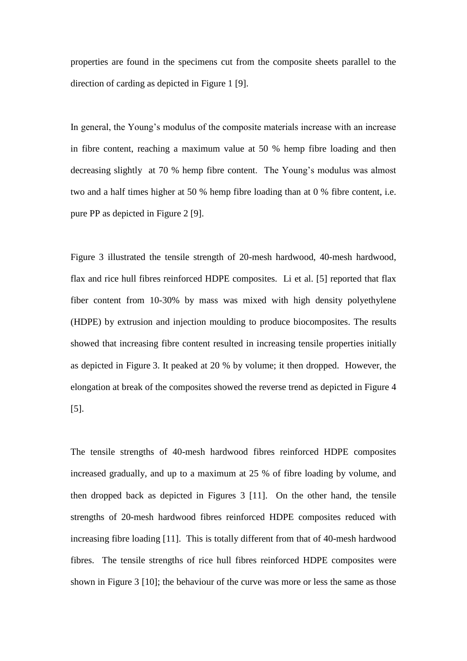properties are found in the specimens cut from the composite sheets parallel to the direction of carding as depicted in Figure 1 [9].

In general, the Young's modulus of the composite materials increase with an increase in fibre content, reaching a maximum value at 50 % hemp fibre loading and then decreasing slightly at 70 % hemp fibre content. The Young's modulus was almost two and a half times higher at 50 % hemp fibre loading than at 0 % fibre content, i.e. pure PP as depicted in Figure 2 [9].

Figure 3 illustrated the tensile strength of 20-mesh hardwood, 40-mesh hardwood, flax and rice hull fibres reinforced HDPE composites. Li et al. [5] reported that flax fiber content from 10-30% by mass was mixed with high density polyethylene (HDPE) by extrusion and injection moulding to produce biocomposites. The results showed that increasing fibre content resulted in increasing tensile properties initially as depicted in Figure 3. It peaked at 20 % by volume; it then dropped. However, the elongation at break of the composites showed the reverse trend as depicted in Figure 4 [5].

The tensile strengths of 40-mesh hardwood fibres reinforced HDPE composites increased gradually, and up to a maximum at 25 % of fibre loading by volume, and then dropped back as depicted in Figures 3 [11]. On the other hand, the tensile strengths of 20-mesh hardwood fibres reinforced HDPE composites reduced with increasing fibre loading [11]. This is totally different from that of 40-mesh hardwood fibres. The tensile strengths of rice hull fibres reinforced HDPE composites were shown in Figure 3 [10]; the behaviour of the curve was more or less the same as those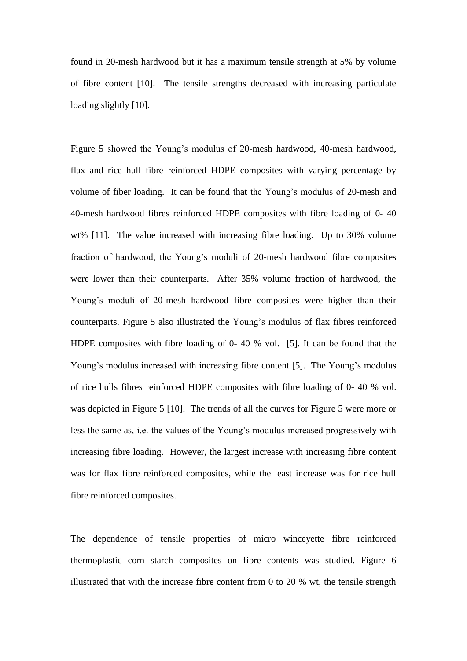found in 20-mesh hardwood but it has a maximum tensile strength at 5% by volume of fibre content [10]. The tensile strengths decreased with increasing particulate loading slightly [10].

Figure 5 showed the Young's modulus of 20-mesh hardwood, 40-mesh hardwood, flax and rice hull fibre reinforced HDPE composites with varying percentage by volume of fiber loading. It can be found that the Young's modulus of 20-mesh and 40-mesh hardwood fibres reinforced HDPE composites with fibre loading of 0- 40 wt% [11]. The value increased with increasing fibre loading. Up to 30% volume fraction of hardwood, the Young's moduli of 20-mesh hardwood fibre composites were lower than their counterparts. After 35% volume fraction of hardwood, the Young's moduli of 20-mesh hardwood fibre composites were higher than their counterparts. Figure 5 also illustrated the Young's modulus of flax fibres reinforced HDPE composites with fibre loading of 0- 40 % vol. [5]. It can be found that the Young's modulus increased with increasing fibre content [5]. The Young's modulus of rice hulls fibres reinforced HDPE composites with fibre loading of 0- 40 % vol. was depicted in Figure 5 [10]. The trends of all the curves for Figure 5 were more or less the same as, i.e. the values of the Young's modulus increased progressively with increasing fibre loading. However, the largest increase with increasing fibre content was for flax fibre reinforced composites, while the least increase was for rice hull fibre reinforced composites.

The dependence of tensile properties of micro winceyette fibre reinforced thermoplastic corn starch composites on fibre contents was studied. Figure 6 illustrated that with the increase fibre content from 0 to 20 % wt, the tensile strength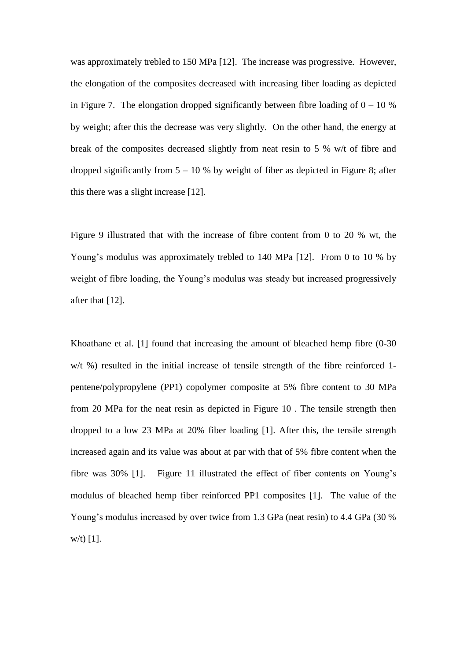was approximately trebled to 150 MPa [12]. The increase was progressive. However, the elongation of the composites decreased with increasing fiber loading as depicted in Figure 7. The elongation dropped significantly between fibre loading of  $0 - 10$  % by weight; after this the decrease was very slightly. On the other hand, the energy at break of the composites decreased slightly from neat resin to 5 % w/t of fibre and dropped significantly from  $5 - 10$  % by weight of fiber as depicted in Figure 8; after this there was a slight increase [12].

Figure 9 illustrated that with the increase of fibre content from 0 to 20 % wt, the Young's modulus was approximately trebled to 140 MPa [12]. From 0 to 10 % by weight of fibre loading, the Young's modulus was steady but increased progressively after that [12].

Khoathane et al. [1] found that increasing the amount of bleached hemp fibre (0-30 w/t %) resulted in the initial increase of tensile strength of the fibre reinforced 1 pentene/polypropylene (PP1) copolymer composite at 5% fibre content to 30 MPa from 20 MPa for the neat resin as depicted in Figure 10 . The tensile strength then dropped to a low 23 MPa at 20% fiber loading [1]. After this, the tensile strength increased again and its value was about at par with that of 5% fibre content when the fibre was 30% [1]. Figure 11 illustrated the effect of fiber contents on Young's modulus of bleached hemp fiber reinforced PP1 composites [1]. The value of the Young's modulus increased by over twice from 1.3 GPa (neat resin) to 4.4 GPa (30 % w/t) [1].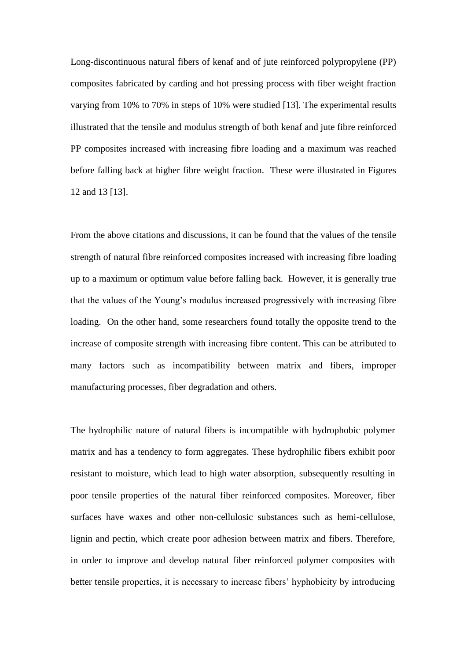Long-discontinuous natural fibers of kenaf and of jute reinforced polypropylene (PP) composites fabricated by carding and hot pressing process with fiber weight fraction varying from 10% to 70% in steps of 10% were studied [13]. The experimental results illustrated that the tensile and modulus strength of both kenaf and jute fibre reinforced PP composites increased with increasing fibre loading and a maximum was reached before falling back at higher fibre weight fraction. These were illustrated in Figures 12 and 13 [13].

From the above citations and discussions, it can be found that the values of the tensile strength of natural fibre reinforced composites increased with increasing fibre loading up to a maximum or optimum value before falling back. However, it is generally true that the values of the Young's modulus increased progressively with increasing fibre loading. On the other hand, some researchers found totally the opposite trend to the increase of composite strength with increasing fibre content. This can be attributed to many factors such as incompatibility between matrix and fibers, improper manufacturing processes, fiber degradation and others.

The hydrophilic nature of natural fibers is incompatible with hydrophobic polymer matrix and has a tendency to form aggregates. These hydrophilic fibers exhibit poor resistant to moisture, which lead to high water absorption, subsequently resulting in poor tensile properties of the natural fiber reinforced composites. Moreover, fiber surfaces have waxes and other non-cellulosic substances such as hemi-cellulose, lignin and pectin, which create poor adhesion between matrix and fibers. Therefore, in order to improve and develop natural fiber reinforced polymer composites with better tensile properties, it is necessary to increase fibers' hyphobicity by introducing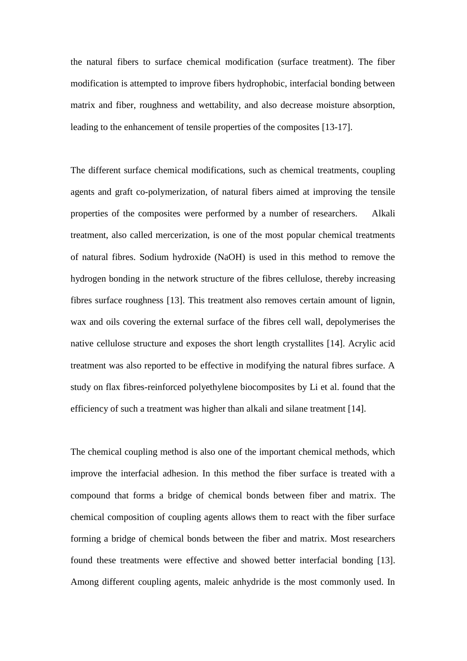the natural fibers to surface chemical modification (surface treatment). The fiber modification is attempted to improve fibers hydrophobic, interfacial bonding between matrix and fiber, roughness and wettability, and also decrease moisture absorption, leading to the enhancement of tensile properties of the composites [13-17].

The different surface chemical modifications, such as chemical treatments, coupling agents and graft co-polymerization, of natural fibers aimed at improving the tensile properties of the composites were performed by a number of researchers. Alkali treatment, also called mercerization, is one of the most popular chemical treatments of natural fibres. Sodium hydroxide (NaOH) is used in this method to remove the hydrogen bonding in the network structure of the fibres cellulose, thereby increasing fibres surface roughness [13]. This treatment also removes certain amount of lignin, wax and oils covering the external surface of the fibres cell wall, depolymerises the native cellulose structure and exposes the short length crystallites [14]. Acrylic acid treatment was also reported to be effective in modifying the natural fibres surface. A study on flax fibres-reinforced polyethylene biocomposites by Li et al. found that the efficiency of such a treatment was higher than alkali and silane treatment [14].

The chemical coupling method is also one of the important chemical methods, which improve the interfacial adhesion. In this method the fiber surface is treated with a compound that forms a bridge of chemical bonds between fiber and matrix. The chemical composition of coupling agents allows them to react with the fiber surface forming a bridge of chemical bonds between the fiber and matrix. Most researchers found these treatments were effective and showed better interfacial bonding [13]. Among different coupling agents, maleic anhydride is the most commonly used. In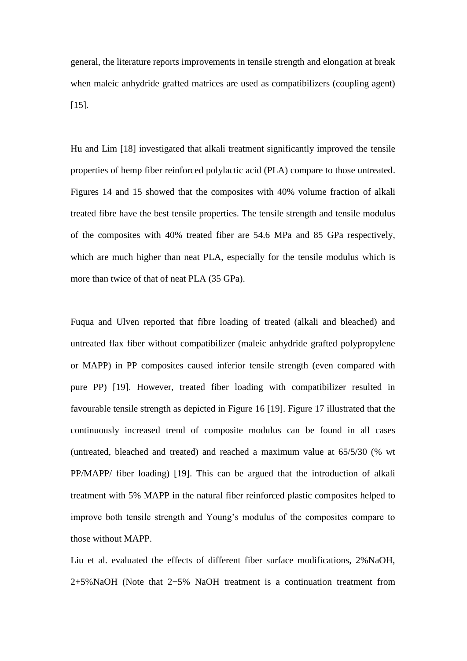general, the literature reports improvements in tensile strength and elongation at break when maleic anhydride grafted matrices are used as compatibilizers (coupling agent) [15].

Hu and Lim [18] investigated that alkali treatment significantly improved the tensile properties of hemp fiber reinforced polylactic acid (PLA) compare to those untreated. Figures 14 and 15 showed that the composites with 40% volume fraction of alkali treated fibre have the best tensile properties. The tensile strength and tensile modulus of the composites with 40% treated fiber are 54.6 MPa and 85 GPa respectively, which are much higher than neat PLA, especially for the tensile modulus which is more than twice of that of neat PLA (35 GPa).

Fuqua and Ulven reported that fibre loading of treated (alkali and bleached) and untreated flax fiber without compatibilizer (maleic anhydride grafted polypropylene or MAPP) in PP composites caused inferior tensile strength (even compared with pure PP) [19]. However, treated fiber loading with compatibilizer resulted in favourable tensile strength as depicted in Figure 16 [19]. Figure 17 illustrated that the continuously increased trend of composite modulus can be found in all cases (untreated, bleached and treated) and reached a maximum value at 65/5/30 (% wt PP/MAPP/ fiber loading) [19]. This can be argued that the introduction of alkali treatment with 5% MAPP in the natural fiber reinforced plastic composites helped to improve both tensile strength and Young's modulus of the composites compare to those without MAPP.

Liu et al. evaluated the effects of different fiber surface modifications, 2%NaOH, 2+5%NaOH (Note that 2+5% NaOH treatment is a continuation treatment from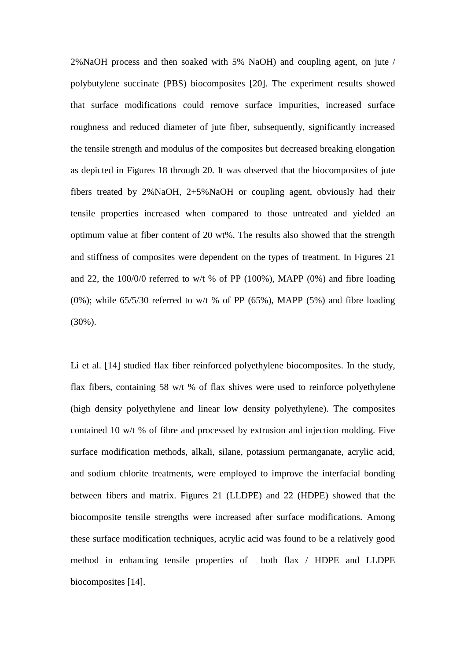2%NaOH process and then soaked with 5% NaOH) and coupling agent, on jute / polybutylene succinate (PBS) biocomposites [20]. The experiment results showed that surface modifications could remove surface impurities, increased surface roughness and reduced diameter of jute fiber, subsequently, significantly increased the tensile strength and modulus of the composites but decreased breaking elongation as depicted in Figures 18 through 20. It was observed that the biocomposites of jute fibers treated by 2%NaOH, 2+5%NaOH or coupling agent, obviously had their tensile properties increased when compared to those untreated and yielded an optimum value at fiber content of 20 wt%. The results also showed that the strength and stiffness of composites were dependent on the types of treatment. In Figures 21 and 22, the 100/0/0 referred to w/t % of PP (100%), MAPP (0%) and fibre loading (0%); while  $65/5/30$  referred to w/t % of PP (65%), MAPP (5%) and fibre loading (30%).

Li et al. [14] studied flax fiber reinforced polyethylene biocomposites. In the study, flax fibers, containing 58 w/t % of flax shives were used to reinforce polyethylene (high density polyethylene and linear low density polyethylene). The composites contained 10 w/t % of fibre and processed by extrusion and injection molding. Five surface modification methods, alkali, silane, potassium permanganate, acrylic acid, and sodium chlorite treatments, were employed to improve the interfacial bonding between fibers and matrix. Figures 21 (LLDPE) and 22 (HDPE) showed that the biocomposite tensile strengths were increased after surface modifications. Among these surface modification techniques, acrylic acid was found to be a relatively good method in enhancing tensile properties of both flax / HDPE and LLDPE biocomposites [14].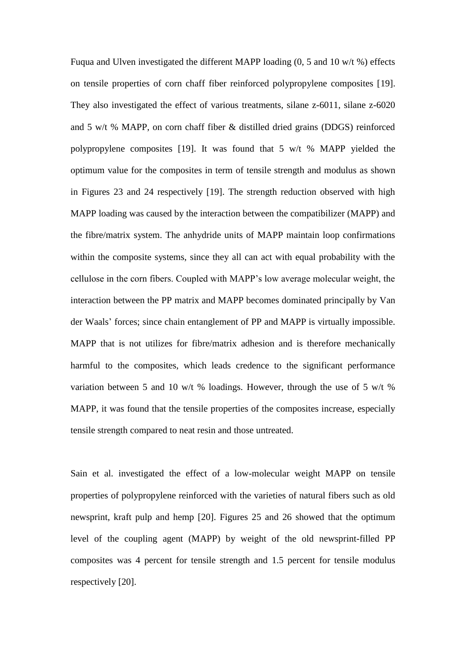Fuqua and Ulven investigated the different MAPP loading (0, 5 and 10 w/t %) effects on tensile properties of corn chaff fiber reinforced polypropylene composites [19]. They also investigated the effect of various treatments, silane z-6011, silane z-6020 and 5 w/t % MAPP, on corn chaff fiber & distilled dried grains (DDGS) reinforced polypropylene composites [19]. It was found that 5 w/t % MAPP yielded the optimum value for the composites in term of tensile strength and modulus as shown in Figures 23 and 24 respectively [19]. The strength reduction observed with high MAPP loading was caused by the interaction between the compatibilizer (MAPP) and the fibre/matrix system. The anhydride units of MAPP maintain loop confirmations within the composite systems, since they all can act with equal probability with the cellulose in the corn fibers. Coupled with MAPP's low average molecular weight, the interaction between the PP matrix and MAPP becomes dominated principally by Van der Waals' forces; since chain entanglement of PP and MAPP is virtually impossible. MAPP that is not utilizes for fibre/matrix adhesion and is therefore mechanically harmful to the composites, which leads credence to the significant performance variation between 5 and 10 w/t % loadings. However, through the use of 5 w/t % MAPP, it was found that the tensile properties of the composites increase, especially tensile strength compared to neat resin and those untreated.

Sain et al. investigated the effect of a low-molecular weight MAPP on tensile properties of polypropylene reinforced with the varieties of natural fibers such as old newsprint, kraft pulp and hemp [20]. Figures 25 and 26 showed that the optimum level of the coupling agent (MAPP) by weight of the old newsprint-filled PP composites was 4 percent for tensile strength and 1.5 percent for tensile modulus respectively [20].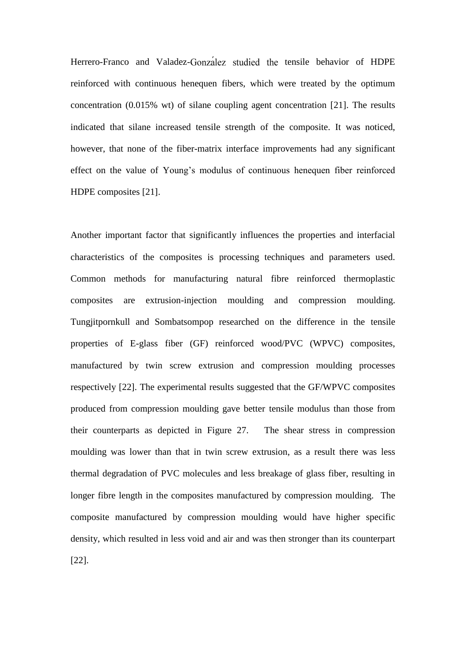Herrero-Franco and Valadez-Gonzalez studied the tensile behavior of HDPE reinforced with continuous henequen fibers, which were treated by the optimum concentration (0.015% wt) of silane coupling agent concentration [21]. The results indicated that silane increased tensile strength of the composite. It was noticed, however, that none of the fiber-matrix interface improvements had any significant effect on the value of Young's modulus of continuous henequen fiber reinforced HDPE composites [21].

Another important factor that significantly influences the properties and interfacial characteristics of the composites is processing techniques and parameters used. Common methods for manufacturing natural fibre reinforced thermoplastic composites are extrusion-injection moulding and compression moulding. Tungjitpornkull and Sombatsompop researched on the difference in the tensile properties of E-glass fiber (GF) reinforced wood/PVC (WPVC) composites, manufactured by twin screw extrusion and compression moulding processes respectively [22]. The experimental results suggested that the GF/WPVC composites produced from compression moulding gave better tensile modulus than those from their counterparts as depicted in Figure 27. The shear stress in compression moulding was lower than that in twin screw extrusion, as a result there was less thermal degradation of PVC molecules and less breakage of glass fiber, resulting in longer fibre length in the composites manufactured by compression moulding. The composite manufactured by compression moulding would have higher specific density, which resulted in less void and air and was then stronger than its counterpart [22].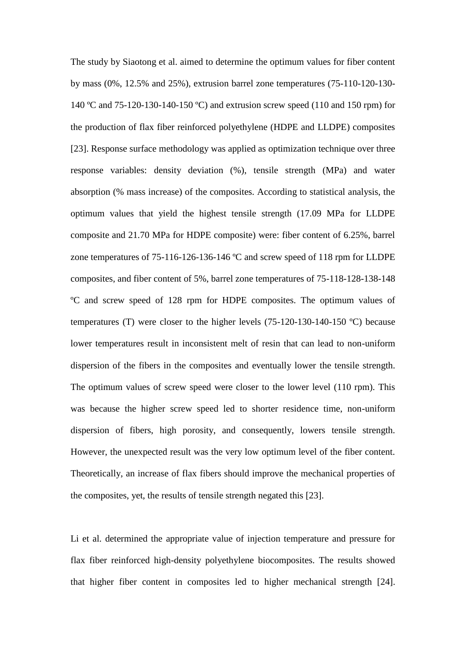The study by Siaotong et al. aimed to determine the optimum values for fiber content by mass (0%, 12.5% and 25%), extrusion barrel zone temperatures (75-110-120-130- 140 ºC and 75-120-130-140-150 ºC) and extrusion screw speed (110 and 150 rpm) for the production of flax fiber reinforced polyethylene (HDPE and LLDPE) composites [23]. Response surface methodology was applied as optimization technique over three response variables: density deviation (%), tensile strength (MPa) and water absorption (% mass increase) of the composites. According to statistical analysis, the optimum values that yield the highest tensile strength (17.09 MPa for LLDPE composite and 21.70 MPa for HDPE composite) were: fiber content of 6.25%, barrel zone temperatures of 75-116-126-136-146 ºC and screw speed of 118 rpm for LLDPE composites, and fiber content of 5%, barrel zone temperatures of 75-118-128-138-148 ºC and screw speed of 128 rpm for HDPE composites. The optimum values of temperatures (T) were closer to the higher levels (75-120-130-140-150 ºC) because lower temperatures result in inconsistent melt of resin that can lead to non-uniform dispersion of the fibers in the composites and eventually lower the tensile strength. The optimum values of screw speed were closer to the lower level (110 rpm). This was because the higher screw speed led to shorter residence time, non-uniform dispersion of fibers, high porosity, and consequently, lowers tensile strength. However, the unexpected result was the very low optimum level of the fiber content. Theoretically, an increase of flax fibers should improve the mechanical properties of the composites, yet, the results of tensile strength negated this [23].

Li et al. determined the appropriate value of injection temperature and pressure for flax fiber reinforced high-density polyethylene biocomposites. The results showed that higher fiber content in composites led to higher mechanical strength [24].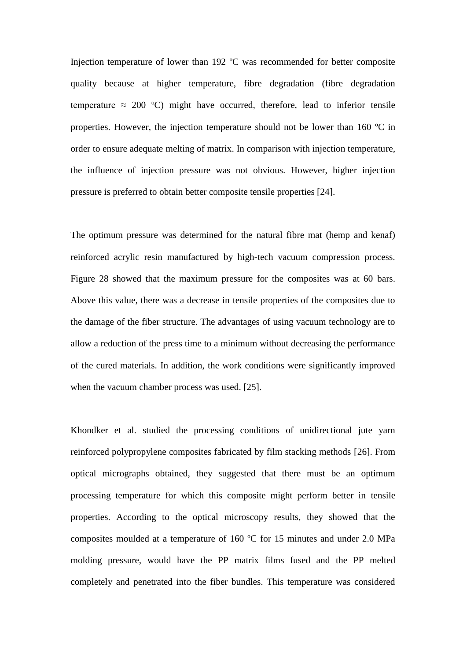Injection temperature of lower than 192 ºC was recommended for better composite quality because at higher temperature, fibre degradation (fibre degradation temperature  $\approx 200$  °C) might have occurred, therefore, lead to inferior tensile properties. However, the injection temperature should not be lower than 160 ºC in order to ensure adequate melting of matrix. In comparison with injection temperature, the influence of injection pressure was not obvious. However, higher injection pressure is preferred to obtain better composite tensile properties [24].

The optimum pressure was determined for the natural fibre mat (hemp and kenaf) reinforced acrylic resin manufactured by high-tech vacuum compression process. Figure 28 showed that the maximum pressure for the composites was at 60 bars. Above this value, there was a decrease in tensile properties of the composites due to the damage of the fiber structure. The advantages of using vacuum technology are to allow a reduction of the press time to a minimum without decreasing the performance of the cured materials. In addition, the work conditions were significantly improved when the vacuum chamber process was used. [25].

Khondker et al. studied the processing conditions of unidirectional jute yarn reinforced polypropylene composites fabricated by film stacking methods [26]. From optical micrographs obtained, they suggested that there must be an optimum processing temperature for which this composite might perform better in tensile properties. According to the optical microscopy results, they showed that the composites moulded at a temperature of 160 ºC for 15 minutes and under 2.0 MPa molding pressure, would have the PP matrix films fused and the PP melted completely and penetrated into the fiber bundles. This temperature was considered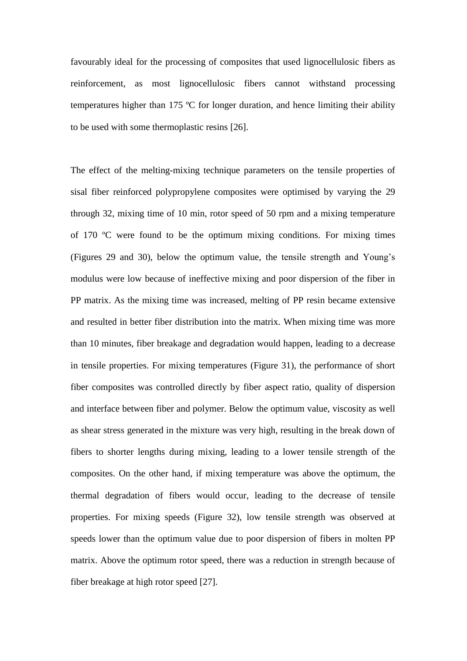favourably ideal for the processing of composites that used lignocellulosic fibers as reinforcement, as most lignocellulosic fibers cannot withstand processing temperatures higher than 175 ºC for longer duration, and hence limiting their ability to be used with some thermoplastic resins [26].

The effect of the melting-mixing technique parameters on the tensile properties of sisal fiber reinforced polypropylene composites were optimised by varying the 29 through 32, mixing time of 10 min, rotor speed of 50 rpm and a mixing temperature of 170 ºC were found to be the optimum mixing conditions. For mixing times (Figures 29 and 30), below the optimum value, the tensile strength and Young's modulus were low because of ineffective mixing and poor dispersion of the fiber in PP matrix. As the mixing time was increased, melting of PP resin became extensive and resulted in better fiber distribution into the matrix. When mixing time was more than 10 minutes, fiber breakage and degradation would happen, leading to a decrease in tensile properties. For mixing temperatures (Figure 31), the performance of short fiber composites was controlled directly by fiber aspect ratio, quality of dispersion and interface between fiber and polymer. Below the optimum value, viscosity as well as shear stress generated in the mixture was very high, resulting in the break down of fibers to shorter lengths during mixing, leading to a lower tensile strength of the composites. On the other hand, if mixing temperature was above the optimum, the thermal degradation of fibers would occur, leading to the decrease of tensile properties. For mixing speeds (Figure 32), low tensile strength was observed at speeds lower than the optimum value due to poor dispersion of fibers in molten PP matrix. Above the optimum rotor speed, there was a reduction in strength because of fiber breakage at high rotor speed [27].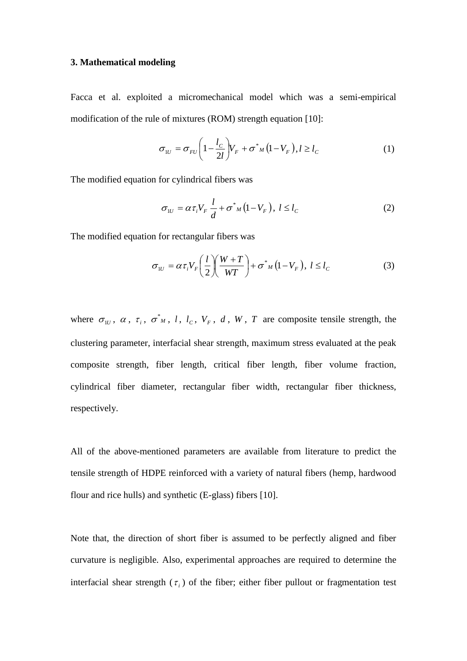#### **3. Mathematical modeling**

Facca et al. exploited a micromechanical model which was a semi-empirical modification of the rule of mixtures (ROM) strength equation [10]:

$$
\sigma_{1U} = \sigma_{FU} \left( 1 - \frac{l_C}{2l} \right) V_F + \sigma^*_{M} \left( 1 - V_F \right), l \ge l_C \tag{1}
$$

The modified equation for cylindrical fibers was

$$
\sigma_{1U} = \alpha \tau_i V_F \frac{l}{d} + \sigma^*_{M} (1 - V_F), \ l \le l_C
$$
 (2)

The modified equation for rectangular fibers was

$$
\sigma_{1U} = \alpha \tau_i V_F \left(\frac{l}{2}\right) \left(\frac{W+T}{WT}\right) + \sigma^*_{M} \left(1 - V_F\right), \ l \le l_C \tag{3}
$$

where  $\sigma_{1U}$ ,  $\alpha$ ,  $\tau_i$ ,  $\sigma^*$ <sub>*M*</sub>, *l*, *l<sub>c</sub>*, *V<sub>F</sub>*, *d*, *W*, *T* are composite tensile strength, the clustering parameter, interfacial shear strength, maximum stress evaluated at the peak composite strength, fiber length, critical fiber length, fiber volume fraction, cylindrical fiber diameter, rectangular fiber width, rectangular fiber thickness, respectively.

All of the above-mentioned parameters are available from literature to predict the tensile strength of HDPE reinforced with a variety of natural fibers (hemp, hardwood flour and rice hulls) and synthetic (E-glass) fibers [10].

Note that, the direction of short fiber is assumed to be perfectly aligned and fiber curvature is negligible. Also, experimental approaches are required to determine the interfacial shear strength  $(\tau_i)$  of the fiber; either fiber pullout or fragmentation test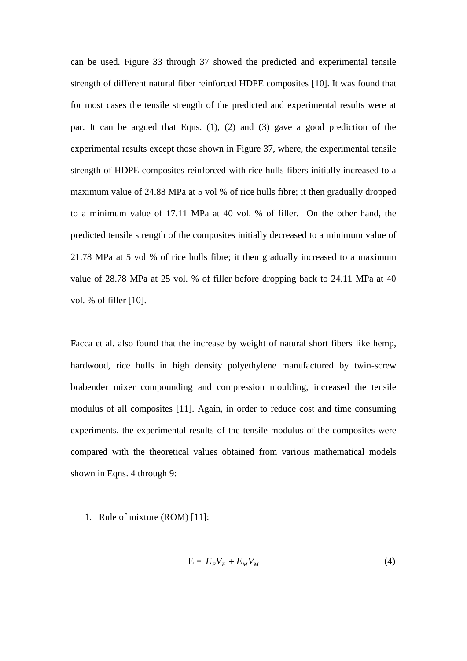can be used. Figure 33 through 37 showed the predicted and experimental tensile strength of different natural fiber reinforced HDPE composites [10]. It was found that for most cases the tensile strength of the predicted and experimental results were at par. It can be argued that Eqns. (1), (2) and (3) gave a good prediction of the experimental results except those shown in Figure 37, where, the experimental tensile strength of HDPE composites reinforced with rice hulls fibers initially increased to a maximum value of 24.88 MPa at 5 vol % of rice hulls fibre; it then gradually dropped to a minimum value of 17.11 MPa at 40 vol. % of filler. On the other hand, the predicted tensile strength of the composites initially decreased to a minimum value of 21.78 MPa at 5 vol % of rice hulls fibre; it then gradually increased to a maximum value of 28.78 MPa at 25 vol. % of filler before dropping back to 24.11 MPa at 40 vol. % of filler [10].

Facca et al. also found that the increase by weight of natural short fibers like hemp, hardwood, rice hulls in high density polyethylene manufactured by twin-screw brabender mixer compounding and compression moulding, increased the tensile modulus of all composites [11]. Again, in order to reduce cost and time consuming experiments, the experimental results of the tensile modulus of the composites were compared with the theoretical values obtained from various mathematical models shown in Eqns. 4 through 9:

1. Rule of mixture (ROM) [11]:

$$
E = E_F V_F + E_M V_M \tag{4}
$$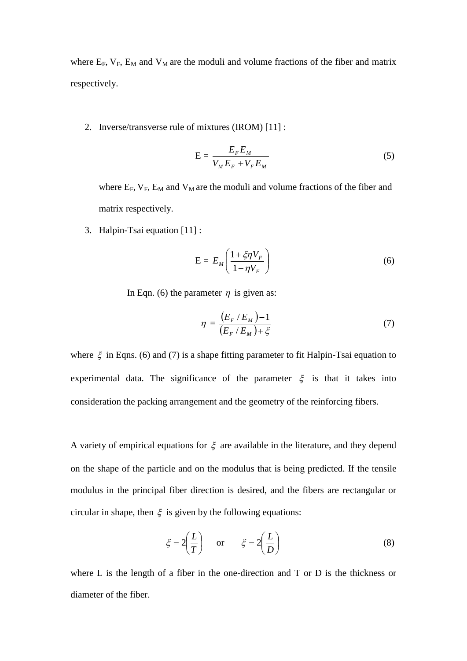where  $E_F$ ,  $V_F$ ,  $E_M$  and  $V_M$  are the moduli and volume fractions of the fiber and matrix respectively.

2. Inverse/transverse rule of mixtures (IROM) [11] :

$$
E = \frac{E_F E_M}{V_M E_F + V_F E_M} \tag{5}
$$

where  $E_F$ ,  $V_F$ ,  $E_M$  and  $V_M$  are the moduli and volume fractions of the fiber and matrix respectively.

3. Halpin-Tsai equation [11] :

$$
E = E_M \left( \frac{1 + \xi \eta V_F}{1 - \eta V_F} \right) \tag{6}
$$

In Eqn. (6) the parameter  $\eta$  is given as:

$$
\eta = \frac{(E_F / E_M) - 1}{(E_F / E_M) + \xi} \tag{7}
$$

where  $\xi$  in Eqns. (6) and (7) is a shape fitting parameter to fit Halpin-Tsai equation to experimental data. The significance of the parameter  $\xi$  is that it takes into consideration the packing arrangement and the geometry of the reinforcing fibers.

A variety of empirical equations for  $\xi$  are available in the literature, and they depend on the shape of the particle and on the modulus that is being predicted. If the tensile modulus in the principal fiber direction is desired, and the fibers are rectangular or circular in shape, then  $\xi$  is given by the following equations:

$$
\xi = 2\left(\frac{L}{T}\right)
$$
 or  $\xi = 2\left(\frac{L}{D}\right)$  (8)

where L is the length of a fiber in the one-direction and T or D is the thickness or diameter of the fiber.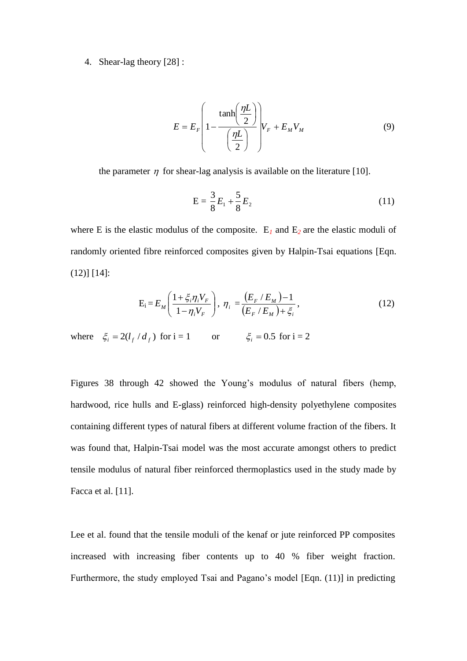#### 4. Shear-lag theory [28] :

$$
E = E_F \left( 1 - \frac{\tanh\left(\frac{\eta L}{2}\right)}{\left(\frac{\eta L}{2}\right)} \right) V_F + E_M V_M \tag{9}
$$

the parameter  $\eta$  for shear-lag analysis is available on the literature [10].

$$
E = \frac{3}{8}E_1 + \frac{5}{8}E_2
$$
 (11)

where E is the elastic modulus of the composite.  $E_1$  and  $E_2$  are the elastic moduli of randomly oriented fibre reinforced composites given by Halpin-Tsai equations [Eqn. (12)] [14]:

$$
E_{i} = E_{M} \left( \frac{1 + \xi_{i} \eta_{i} V_{F}}{1 - \eta_{i} V_{F}} \right), \ \eta_{i} = \frac{(E_{F} / E_{M}) - 1}{(E_{F} / E_{M}) + \xi_{i}}, \tag{12}
$$

where  $\xi_i = 2(l_f / d_f)$  for i = 1 or  $\xi_i = 0.5$  for i = 2

Figures 38 through 42 showed the Young's modulus of natural fibers (hemp, hardwood, rice hulls and E-glass) reinforced high-density polyethylene composites containing different types of natural fibers at different volume fraction of the fibers. It was found that, Halpin-Tsai model was the most accurate amongst others to predict tensile modulus of natural fiber reinforced thermoplastics used in the study made by Facca et al. [11].

Lee et al. found that the tensile moduli of the kenaf or jute reinforced PP composites increased with increasing fiber contents up to 40 % fiber weight fraction. Furthermore, the study employed Tsai and Pagano's model [Eqn. (11)] in predicting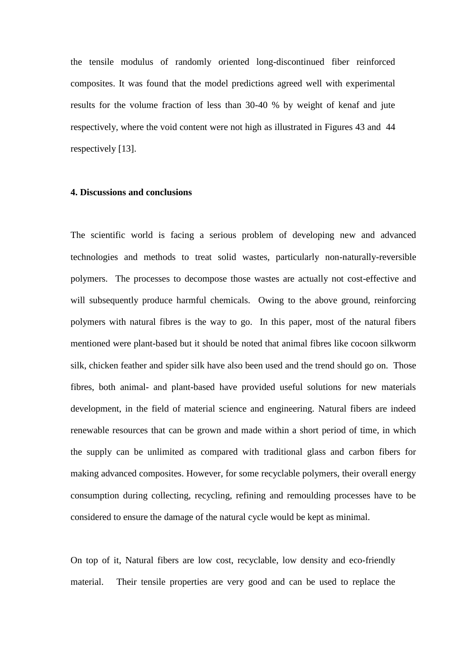the tensile modulus of randomly oriented long-discontinued fiber reinforced composites. It was found that the model predictions agreed well with experimental results for the volume fraction of less than 30-40 % by weight of kenaf and jute respectively, where the void content were not high as illustrated in Figures 43 and 44 respectively [13].

#### **4. Discussions and conclusions**

The scientific world is facing a serious problem of developing new and advanced technologies and methods to treat solid wastes, particularly non-naturally-reversible polymers. The processes to decompose those wastes are actually not cost-effective and will subsequently produce harmful chemicals. Owing to the above ground, reinforcing polymers with natural fibres is the way to go. In this paper, most of the natural fibers mentioned were plant-based but it should be noted that animal fibres like cocoon silkworm silk, chicken feather and spider silk have also been used and the trend should go on. Those fibres, both animal- and plant-based have provided useful solutions for new materials development, in the field of material science and engineering. Natural fibers are indeed renewable resources that can be grown and made within a short period of time, in which the supply can be unlimited as compared with traditional glass and carbon fibers for making advanced composites. However, for some recyclable polymers, their overall energy consumption during collecting, recycling, refining and remoulding processes have to be considered to ensure the damage of the natural cycle would be kept as minimal.

On top of it, Natural fibers are low cost, recyclable, low density and eco-friendly material. Their tensile properties are very good and can be used to replace the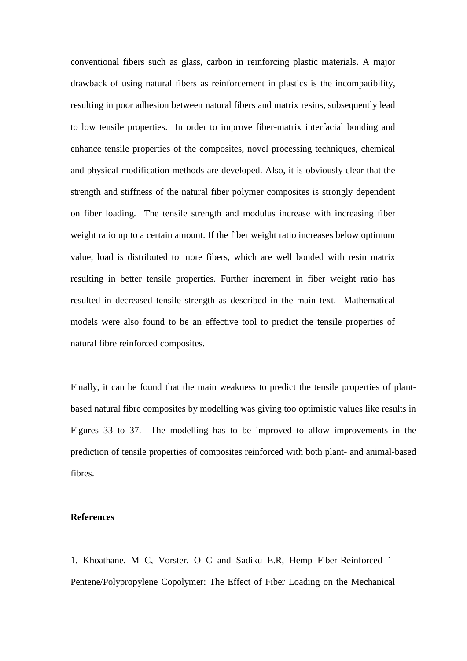conventional fibers such as glass, carbon in reinforcing plastic materials. A major drawback of using natural fibers as reinforcement in plastics is the incompatibility, resulting in poor adhesion between natural fibers and matrix resins, subsequently lead to low tensile properties. In order to improve fiber-matrix interfacial bonding and enhance tensile properties of the composites, novel processing techniques, chemical and physical modification methods are developed. Also, it is obviously clear that the strength and stiffness of the natural fiber polymer composites is strongly dependent on fiber loading. The tensile strength and modulus increase with increasing fiber weight ratio up to a certain amount. If the fiber weight ratio increases below optimum value, load is distributed to more fibers, which are well bonded with resin matrix resulting in better tensile properties. Further increment in fiber weight ratio has resulted in decreased tensile strength as described in the main text. Mathematical models were also found to be an effective tool to predict the tensile properties of natural fibre reinforced composites.

Finally, it can be found that the main weakness to predict the tensile properties of plantbased natural fibre composites by modelling was giving too optimistic values like results in Figures 33 to 37. The modelling has to be improved to allow improvements in the prediction of tensile properties of composites reinforced with both plant- and animal-based fibres.

#### **References**

1. Khoathane, M C, Vorster, O C and Sadiku E.R, Hemp Fiber-Reinforced 1- Pentene/Polypropylene Copolymer: The Effect of Fiber Loading on the Mechanical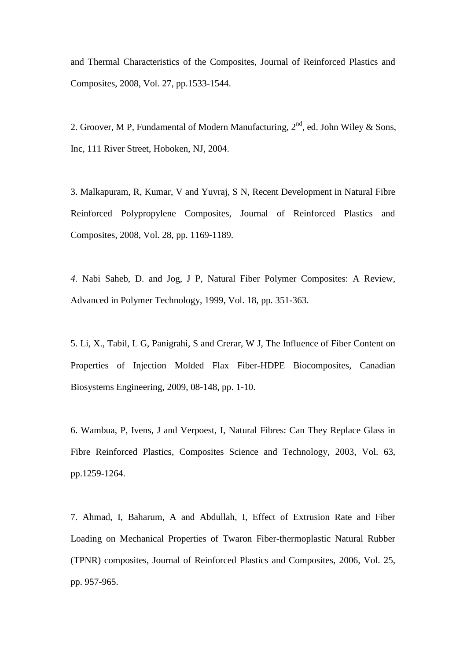and Thermal Characteristics of the Composites, Journal of Reinforced Plastics and Composites, 2008, Vol. 27, pp.1533-1544.

2. Groover, M P, Fundamental of Modern Manufacturing,  $2<sup>nd</sup>$ , ed. John Wiley & Sons, Inc, 111 River Street, Hoboken, NJ, 2004.

3. Malkapuram, R, Kumar, V and Yuvraj, S N, Recent Development in Natural Fibre Reinforced Polypropylene Composites, Journal of Reinforced Plastics and Composites, 2008, Vol. 28, pp. 1169-1189.

*4.* Nabi Saheb, D. and Jog, J P, Natural Fiber Polymer Composites: A Review, Advanced in Polymer Technology, 1999, Vol. 18, pp. 351-363.

5. Li, X., Tabil, L G, Panigrahi, S and Crerar, W J, The Influence of Fiber Content on Properties of Injection Molded Flax Fiber-HDPE Biocomposites, Canadian Biosystems Engineering, 2009, 08-148, pp. 1-10.

6. Wambua, P, Ivens, J and Verpoest, I, Natural Fibres: Can They Replace Glass in Fibre Reinforced Plastics, Composites Science and Technology, 2003, Vol. 63, pp.1259-1264.

7. Ahmad, I, Baharum, A and Abdullah, I, Effect of Extrusion Rate and Fiber Loading on Mechanical Properties of Twaron Fiber-thermoplastic Natural Rubber (TPNR) composites, Journal of Reinforced Plastics and Composites, 2006, Vol. 25, pp. 957-965.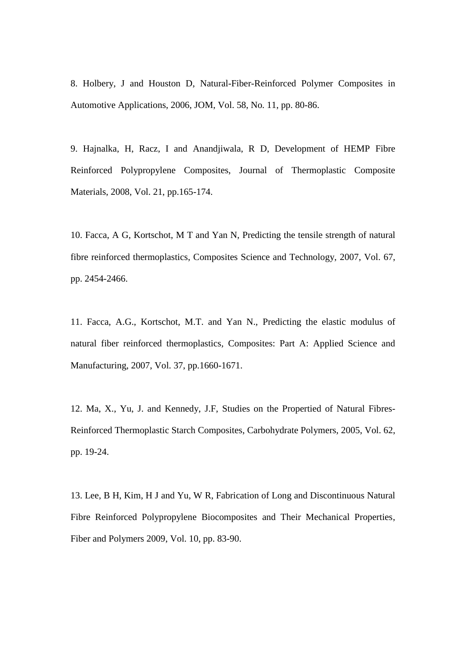8. Holbery, J and Houston D, Natural-Fiber-Reinforced Polymer Composites in Automotive Applications, 2006, JOM, Vol. 58, No. 11, pp. 80-86.

9. Hajnalka, H, Racz, I and Anandjiwala, R D, Development of HEMP Fibre Reinforced Polypropylene Composites, Journal of Thermoplastic Composite Materials, 2008, Vol. 21, pp.165-174.

10. Facca, A G, Kortschot, M T and Yan N, Predicting the tensile strength of natural fibre reinforced thermoplastics, Composites Science and Technology, 2007, Vol. 67, pp. 2454-2466.

11. Facca, A.G., Kortschot, M.T. and Yan N., Predicting the elastic modulus of natural fiber reinforced thermoplastics*,* Composites: Part A: Applied Science and Manufacturing, 2007, Vol. 37, pp.1660-1671.

12. Ma, X., Yu, J. and Kennedy, J.F, Studies on the Propertied of Natural Fibres-Reinforced Thermoplastic Starch Composites, Carbohydrate Polymers, 2005, Vol. 62, pp. 19-24.

13. Lee, B H, Kim, H J and Yu, W R, Fabrication of Long and Discontinuous Natural Fibre Reinforced Polypropylene Biocomposites and Their Mechanical Properties, Fiber and Polymers 2009, Vol. 10, pp. 83-90.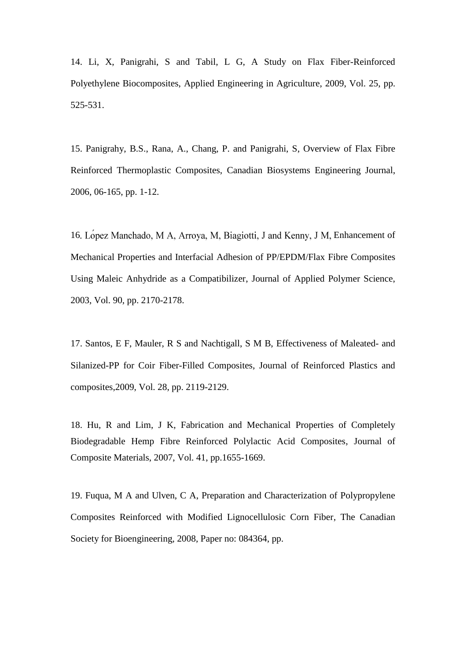14. Li, X, Panigrahi, S and Tabil, L G, A Study on Flax Fiber-Reinforced Polyethylene Biocomposites, Applied Engineering in Agriculture, 2009, Vol. 25, pp. 525-531.

15. Panigrahy, B.S., Rana, A., Chang, P. and Panigrahi, S, Overview of Flax Fibre Reinforced Thermoplastic Composites, Canadian Biosystems Engineering Journal, 2006, 06-165, pp. 1-12.

16. Lopez Manchado, M A, Arroya, M, Biagiotti, J and Kenny, J M, Enhancement of Mechanical Properties and Interfacial Adhesion of PP/EPDM/Flax Fibre Composites Using Maleic Anhydride as a Compatibilizer, Journal of Applied Polymer Science, 2003, Vol. 90, pp. 2170-2178.

17. Santos, E F, Mauler, R S and Nachtigall, S M B, Effectiveness of Maleated- and Silanized-PP for Coir Fiber-Filled Composites, Journal of Reinforced Plastics and composites,2009, Vol. 28, pp. 2119-2129.

18. Hu, R and Lim, J K, Fabrication and Mechanical Properties of Completely Biodegradable Hemp Fibre Reinforced Polylactic Acid Composites, Journal of Composite Materials, 2007, Vol. 41, pp.1655-1669.

19. Fuqua, M A and Ulven, C A, Preparation and Characterization of Polypropylene Composites Reinforced with Modified Lignocellulosic Corn Fiber, The Canadian Society for Bioengineering, 2008, Paper no: 084364, pp.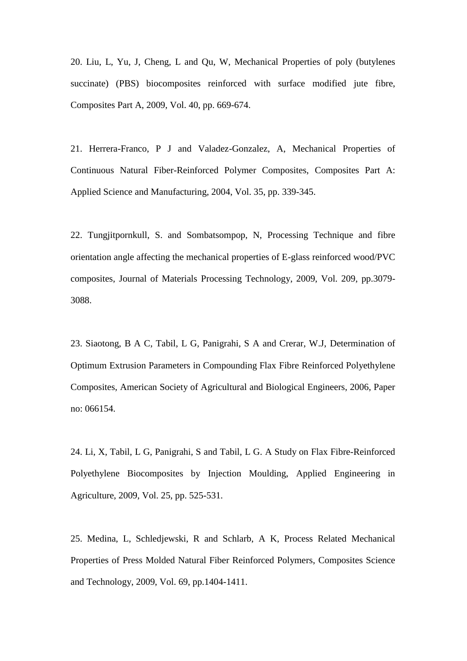20. Liu, L, Yu, J, Cheng, L and Qu, W, Mechanical Properties of poly (butylenes succinate) (PBS) biocomposites reinforced with surface modified jute fibre, Composites Part A, 2009, Vol. 40, pp. 669-674.

21. Herrera-Franco, P J and Valadez-Gonzalez, A, Mechanical Properties of Continuous Natural Fiber-Reinforced Polymer Composites, Composites Part A: Applied Science and Manufacturing, 2004, Vol. 35, pp. 339-345.

22. Tungjitpornkull, S. and Sombatsompop, N, Processing Technique and fibre orientation angle affecting the mechanical properties of E-glass reinforced wood/PVC composites, Journal of Materials Processing Technology, 2009, Vol. 209, pp.3079- 3088.

23. Siaotong, B A C, Tabil, L G, Panigrahi, S A and Crerar, W.J, Determination of Optimum Extrusion Parameters in Compounding Flax Fibre Reinforced Polyethylene Composites, American Society of Agricultural and Biological Engineers, 2006, Paper no: 066154.

24. Li, X, Tabil, L G, Panigrahi, S and Tabil, L G. A Study on Flax Fibre-Reinforced Polyethylene Biocomposites by Injection Moulding, Applied Engineering in Agriculture, 2009, Vol. 25, pp. 525-531.

25. Medina, L, Schledjewski, R and Schlarb, A K, Process Related Mechanical Properties of Press Molded Natural Fiber Reinforced Polymers, Composites Science and Technology, 2009, Vol. 69, pp.1404-1411.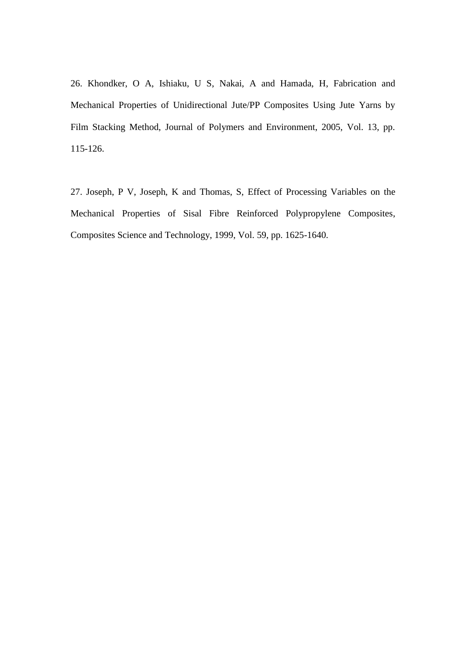26. Khondker, O A, Ishiaku, U S, Nakai, A and Hamada, H, Fabrication and Mechanical Properties of Unidirectional Jute/PP Composites Using Jute Yarns by Film Stacking Method, Journal of Polymers and Environment, 2005, Vol. 13, pp. 115-126.

27. Joseph, P V, Joseph, K and Thomas, S, Effect of Processing Variables on the Mechanical Properties of Sisal Fibre Reinforced Polypropylene Composites, Composites Science and Technology, 1999, Vol. 59, pp. 1625-1640.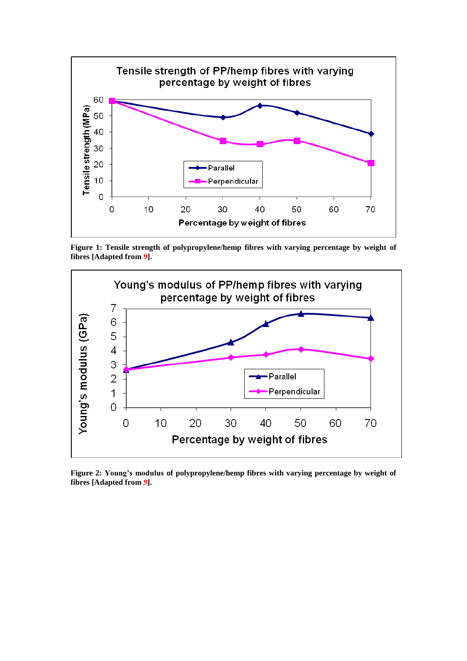

**Figure 1: Tensile strength of polypropylene/hemp fibres with varying percentage by weight of fibres [Adapted from** *9***].**



**Figure 2: Young's modulus of polypropylene/hemp fibres with varying percentage by weight of fibres [Adapted from** *9***].**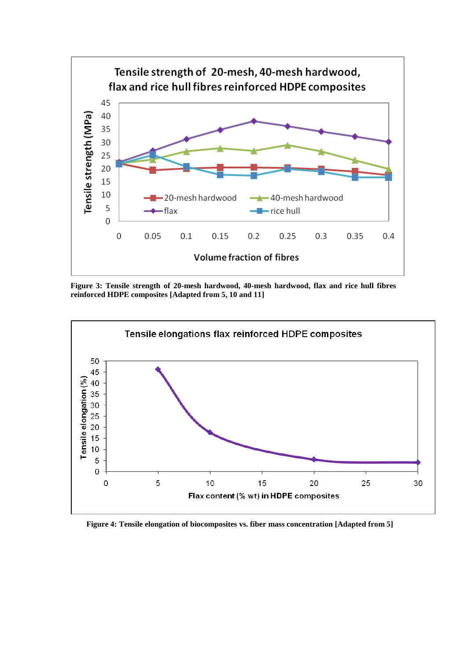

**Figure 3: Tensile strength of 20-mesh hardwood, 40-mesh hardwood, flax and rice hull fibres reinforced HDPE composites [Adapted from 5, 10 and 11]**



 **Figure 4: Tensile elongation of biocomposites vs. fiber mass concentration [Adapted from 5]**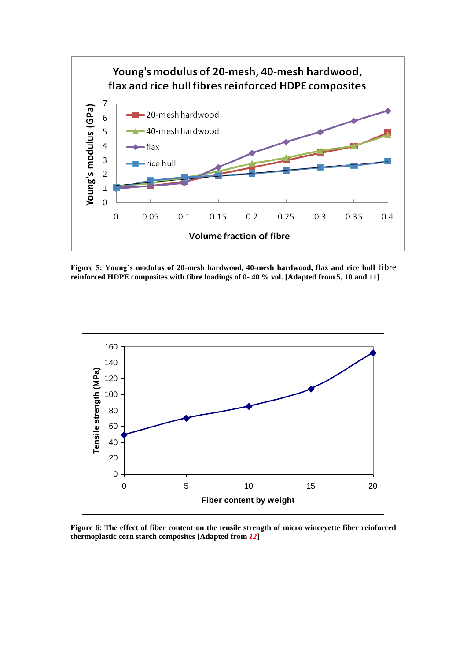

**Figure 5: Young's modulus of 20-mesh hardwood, 40-mesh hardwood, flax and rice hull** fibre **reinforced HDPE composites with fibre loadings of 0- 40 % vol. [Adapted from 5, 10 and 11]**



**Figure 6: The effect of fiber content on the tensile strength of micro winceyette fiber reinforced thermoplastic corn starch composites [Adapted from** *12***]**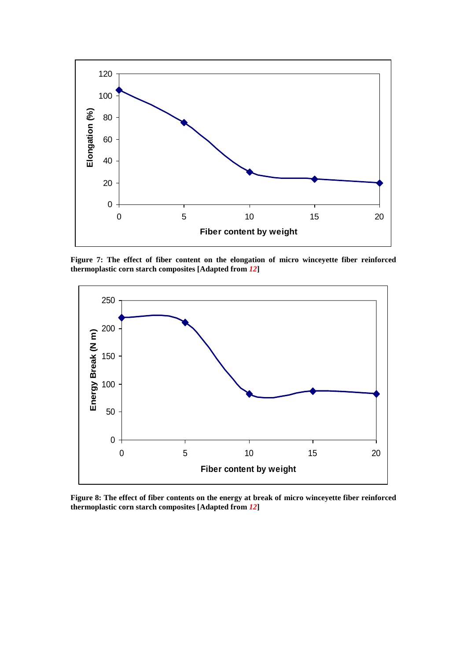

**Figure 7: The effect of fiber content on the elongation of micro winceyette fiber reinforced thermoplastic corn starch composites [Adapted from** *12***]**



**Figure 8: The effect of fiber contents on the energy at break of micro winceyette fiber reinforced thermoplastic corn starch composites [Adapted from** *12***]**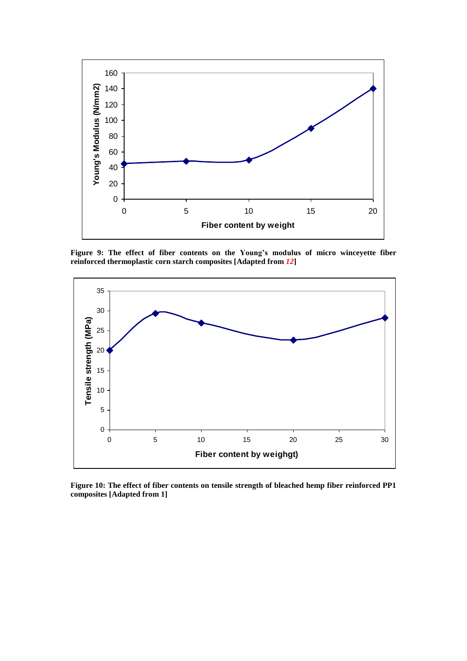

**Figure 9: The effect of fiber contents on the Young's modulus of micro winceyette fiber reinforced thermoplastic corn starch composites [Adapted from** *12***]**



**Figure 10: The effect of fiber contents on tensile strength of bleached hemp fiber reinforced PP1 composites [Adapted from 1]**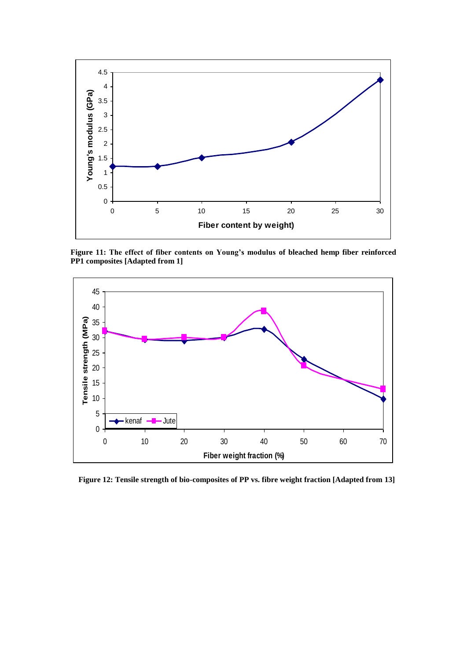

**Figure 11: The effect of fiber contents on Young's modulus of bleached hemp fiber reinforced PP1 composites [Adapted from 1]**



 **Figure 12: Tensile strength of bio-composites of PP vs. fibre weight fraction [Adapted from 13]**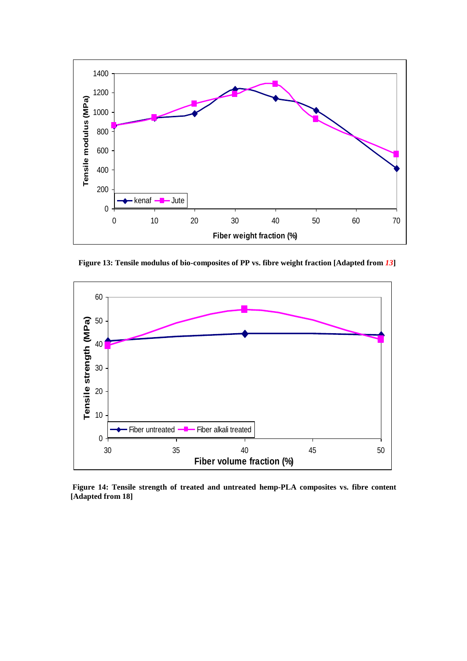

 **Figure 13: Tensile modulus of bio-composites of PP vs. fibre weight fraction [Adapted from** *13***]**



**Figure 14: Tensile strength of treated and untreated hemp-PLA composites vs. fibre content [Adapted from 18]**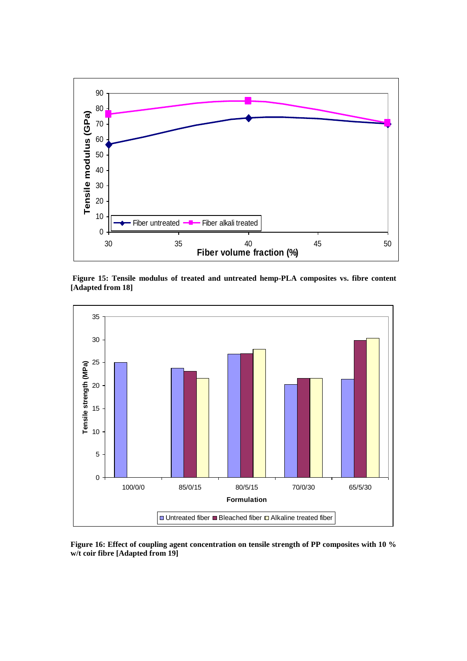

**Figure 15: Tensile modulus of treated and untreated hemp-PLA composites vs. fibre content [Adapted from 18]**



**Figure 16: Effect of coupling agent concentration on tensile strength of PP composites with 10 % w/t coir fibre [Adapted from 19]**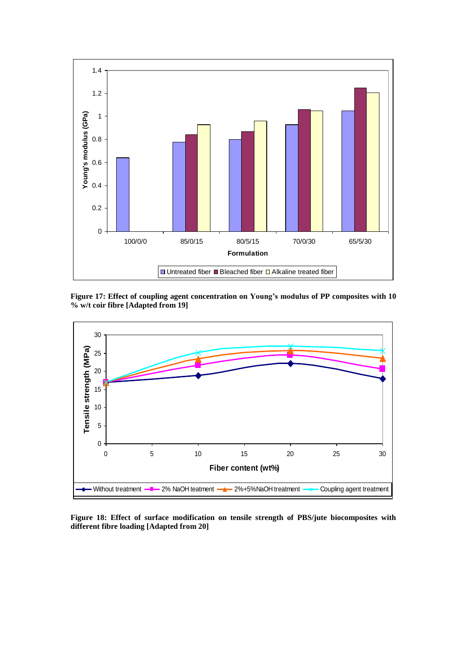

**Figure 17: Effect of coupling agent concentration on Young's modulus of PP composites with 10 % w/t coir fibre [Adapted from 19]**



**Figure 18: Effect of surface modification on tensile strength of PBS/jute biocomposites with different fibre loading [Adapted from 20]**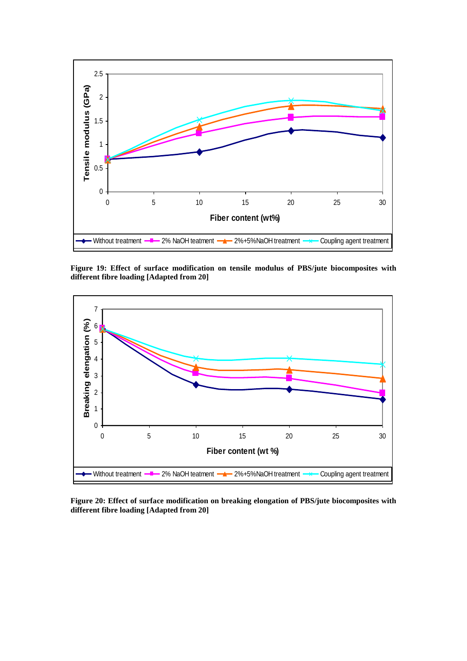

**Figure 19: Effect of surface modification on tensile modulus of PBS/jute biocomposites with different fibre loading [Adapted from 20]**



**Figure 20: Effect of surface modification on breaking elongation of PBS/jute biocomposites with different fibre loading [Adapted from 20]**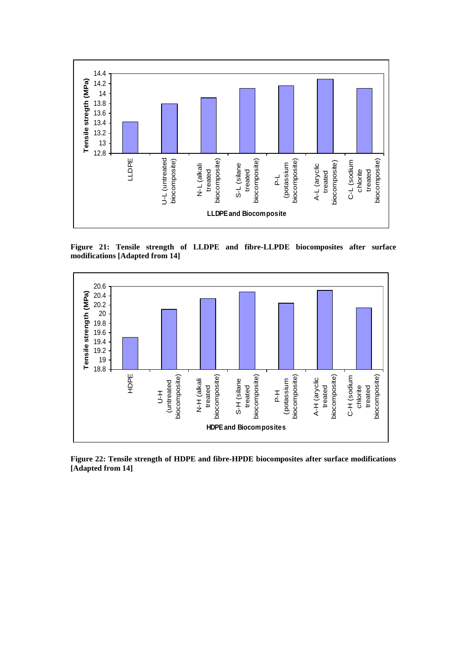

**Figure 21: Tensile strength of LLDPE and fibre-LLPDE biocomposites after surface modifications [Adapted from 14]**



**Figure 22: Tensile strength of HDPE and fibre-HPDE biocomposites after surface modifications [Adapted from 14]**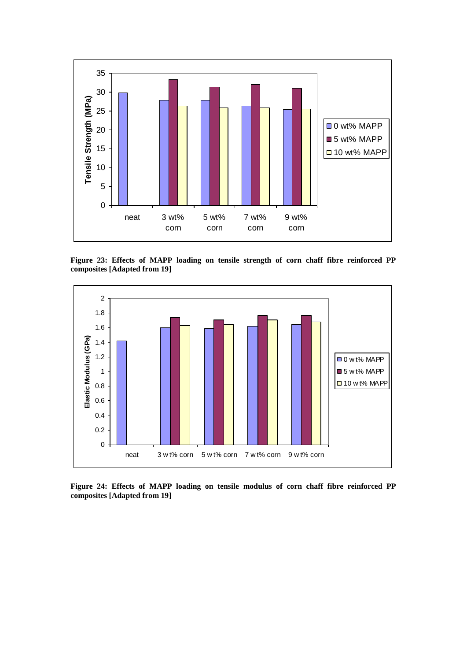

**Figure 23: Effects of MAPP loading on tensile strength of corn chaff fibre reinforced PP composites [Adapted from 19]**



**Figure 24: Effects of MAPP loading on tensile modulus of corn chaff fibre reinforced PP composites [Adapted from 19]**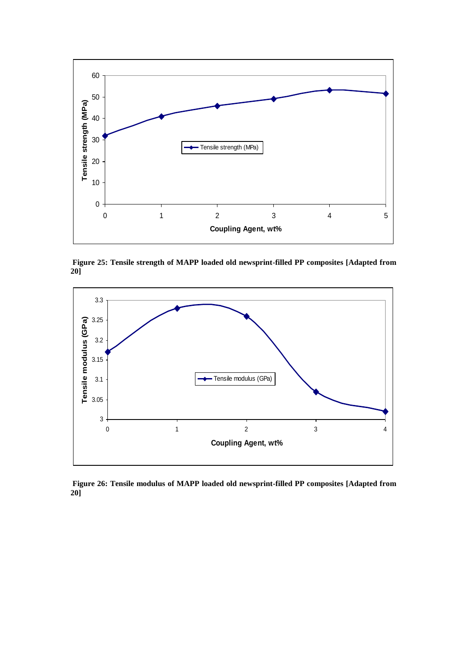

**Figure 25: Tensile strength of MAPP loaded old newsprint-filled PP composites [Adapted from 20]**



**Figure 26: Tensile modulus of MAPP loaded old newsprint-filled PP composites [Adapted from 20]**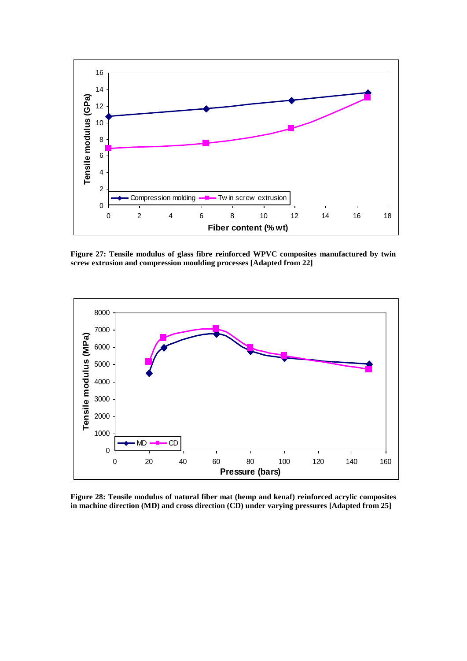

**Figure 27: Tensile modulus of glass fibre reinforced WPVC composites manufactured by twin screw extrusion and compression moulding processes [Adapted from 22]**



**Figure 28: Tensile modulus of natural fiber mat (hemp and kenaf) reinforced acrylic composites in machine direction (MD) and cross direction (CD) under varying pressures [Adapted from 25]**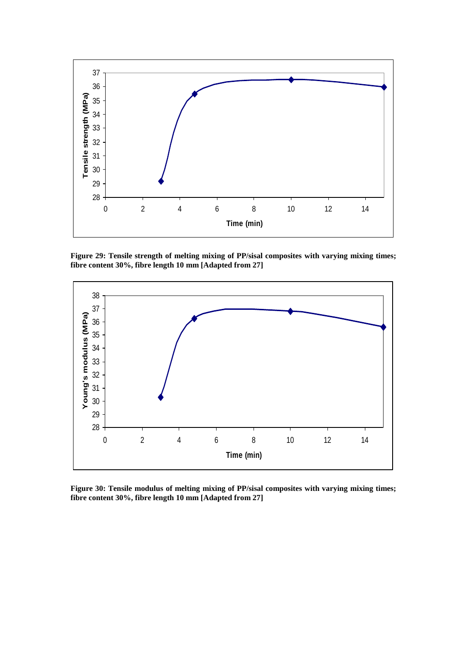

**Figure 29: Tensile strength of melting mixing of PP/sisal composites with varying mixing times; fibre content 30%, fibre length 10 mm [Adapted from 27]**



**Figure 30: Tensile modulus of melting mixing of PP/sisal composites with varying mixing times; fibre content 30%, fibre length 10 mm [Adapted from 27]**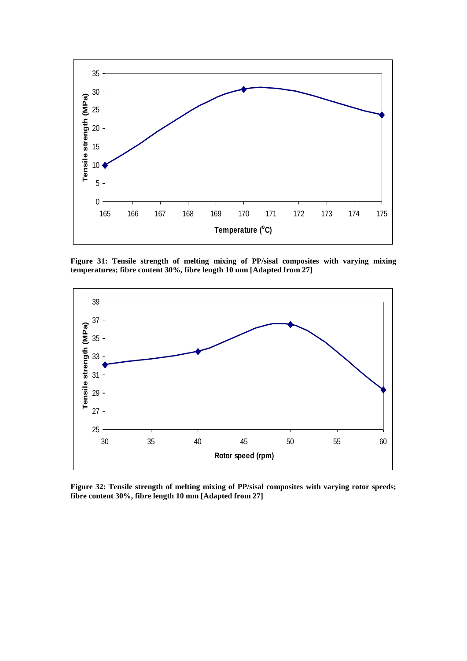

**Figure 31: Tensile strength of melting mixing of PP/sisal composites with varying mixing temperatures; fibre content 30%, fibre length 10 mm [Adapted from 27]**



**Figure 32: Tensile strength of melting mixing of PP/sisal composites with varying rotor speeds; fibre content 30%, fibre length 10 mm [Adapted from 27]**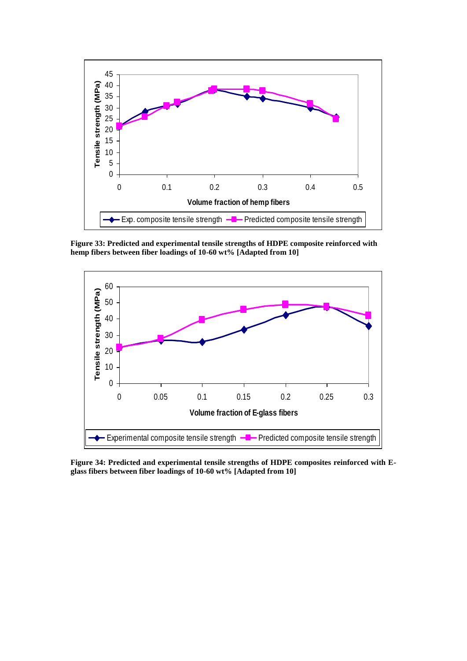

**Figure 33: Predicted and experimental tensile strengths of HDPE composite reinforced with hemp fibers between fiber loadings of 10-60 wt% [Adapted from 10]**



**Figure 34: Predicted and experimental tensile strengths of HDPE composites reinforced with Eglass fibers between fiber loadings of 10-60 wt% [Adapted from 10]**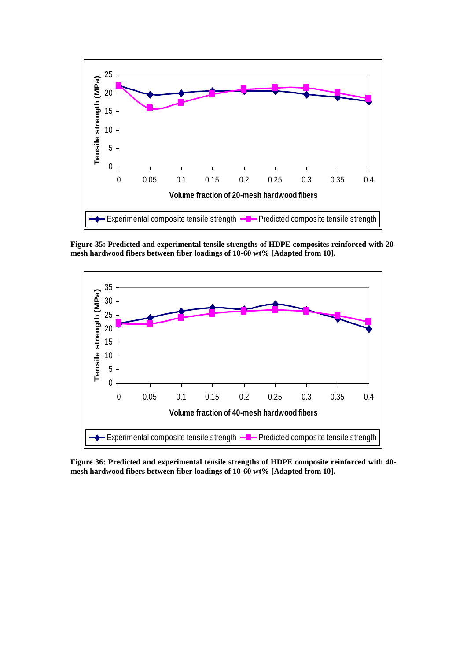

**Figure 35: Predicted and experimental tensile strengths of HDPE composites reinforced with 20 mesh hardwood fibers between fiber loadings of 10-60 wt% [Adapted from 10].**



**Figure 36: Predicted and experimental tensile strengths of HDPE composite reinforced with 40 mesh hardwood fibers between fiber loadings of 10-60 wt% [Adapted from 10].**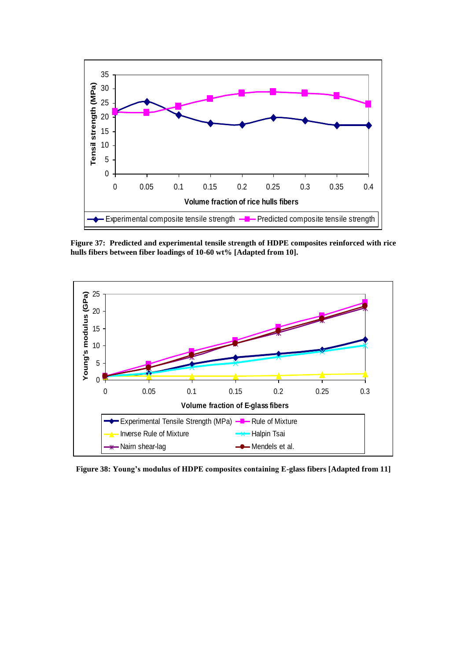

**Figure 37: Predicted and experimental tensile strength of HDPE composites reinforced with rice hulls fibers between fiber loadings of 10-60 wt% [Adapted from 10].**



**Figure 38: Young's modulus of HDPE composites containing E-glass fibers [Adapted from 11]**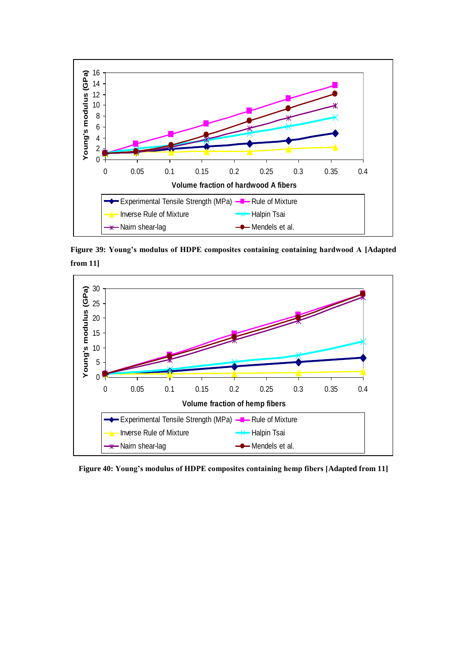

**Figure 39: Young's modulus of HDPE composites containing containing hardwood A [Adapted from 11]**



**Figure 40: Young's modulus of HDPE composites containing hemp fibers [Adapted from 11]**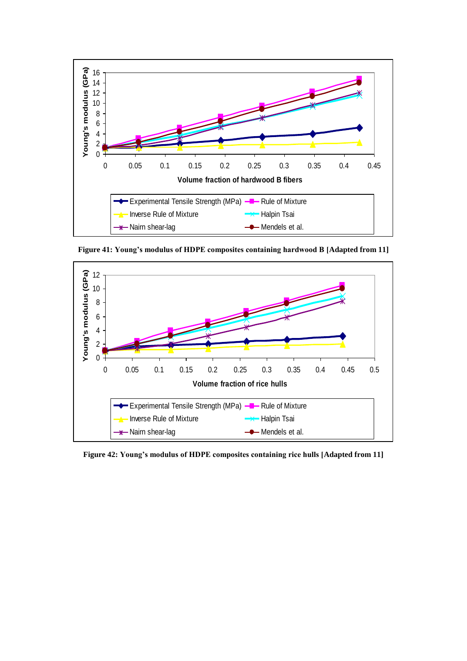

**Figure 41: Young's modulus of HDPE composites containing hardwood B [Adapted from 11]**



**Figure 42: Young's modulus of HDPE composites containing rice hulls [Adapted from 11]**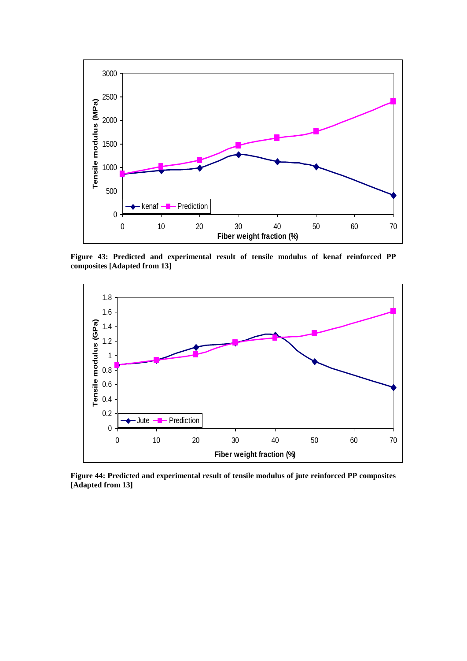

**Figure 43: Predicted and experimental result of tensile modulus of kenaf reinforced PP composites [Adapted from 13]**



**Figure 44: Predicted and experimental result of tensile modulus of jute reinforced PP composites [Adapted from 13]**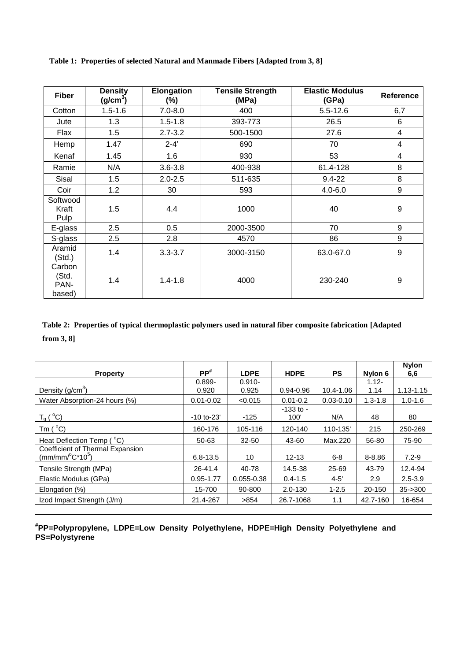| <b>Fiber</b>                      | <b>Density</b><br>(g/cm <sup>3</sup> ) | Elongation<br>$(\%)$ | <b>Tensile Strength</b><br>(MPa) | <b>Elastic Modulus</b><br>(GPa) | Reference |
|-----------------------------------|----------------------------------------|----------------------|----------------------------------|---------------------------------|-----------|
| Cotton                            | $1.5 - 1.6$                            | $7.0 - 8.0$          | 400                              | $5.5 - 12.6$                    | 6,7       |
| Jute                              | 1.3                                    | $1.5 - 1.8$          | 393-773                          | 26.5                            | 6         |
| Flax                              | 1.5                                    | $2.7 - 3.2$          | 500-1500                         | 27.6                            | 4         |
| Hemp                              | 1.47                                   | $2 - 4'$             | 690                              | 70                              | 4         |
| Kenaf                             | 1.45                                   | 1.6                  | 930                              | 53                              | 4         |
| Ramie                             | N/A                                    | $3.6 - 3.8$          | 400-938                          | 61.4-128                        | 8         |
| Sisal                             | 1.5                                    | $2.0 - 2.5$          | 511-635                          | $9.4 - 22$                      | 8         |
| Coir                              | 1.2                                    | 30                   | 593                              | $4.0 - 6.0$                     | 9         |
| Softwood<br>Kraft<br>Pulp         | 1.5                                    | 4.4                  | 1000                             | 40                              | 9         |
| E-glass                           | 2.5                                    | 0.5                  | 2000-3500                        | 70                              | 9         |
| S-glass                           | 2.5                                    | 2.8                  | 4570                             | 86                              | 9         |
| Aramid<br>(Std.)                  | 1.4                                    | $3.3 - 3.7$          | 3000-3150                        | 63.0-67.0                       | 9         |
| Carbon<br>(Std.<br>PAN-<br>based) | 1.4                                    | $1.4 - 1.8$          | 4000                             | 230-240                         | 9         |

**Table 1: Properties of selected Natural and Manmade Fibers [Adapted from 3, 8]**

# **Table 2: Properties of typical thermoplastic polymers used in natural fiber composite fabrication [Adapted from 3, 8]**

| <b>Property</b>                                           | $PP^*$        | <b>LDPE</b>    | <b>HDPE</b>   | <b>PS</b>     | Nylon 6     | <b>Nylon</b><br>6,6 |
|-----------------------------------------------------------|---------------|----------------|---------------|---------------|-------------|---------------------|
|                                                           | $0.899 -$     | $0.910 -$      |               |               | $1.12 -$    |                     |
| Density $(g/cm3)$                                         | 0.920         | 0.925          | $0.94 - 0.96$ | 10.4-1.06     | 1.14        | $1.13 - 1.15$       |
| Water Absorption-24 hours (%)                             | $0.01 - 0.02$ | < 0.015        | $0.01 - 0.2$  | $0.03 - 0.10$ | $1.3 - 1.8$ | $1.0 - 1.6$         |
|                                                           |               |                | $-133$ to $-$ |               |             |                     |
| $T_g(^oC)$                                                | $-10$ to-23'  | $-125$         | 100'          | N/A           | 48          | 80                  |
| Tm $(^{\circ}C)$                                          | 160-176       | 105-116        | 120-140       | 110-135'      | 215         | 250-269             |
| Heat Deflection Temp (°C)                                 | 50-63         | $32 - 50$      | 43-60         | Max.220       | 56-80       | 75-90               |
| Coefficient of Thermal Expansion<br>$(mm/mm/{}^oC^*10^5)$ | $6.8 - 13.5$  | 10             | $12 - 13$     | $6 - 8$       | $8 - 8.86$  | $7.2 - 9$           |
| Tensile Strength (MPa)                                    | 26-41.4       | 40-78          | 14.5-38       | 25-69         | 43-79       | 12.4-94             |
| Elastic Modulus (GPa)                                     | $0.95 - 1.77$ | $0.055 - 0.38$ | $0.4 - 1.5$   | $4 - 5'$      | 2.9         | $2.5 - 3.9$         |
| Elongation (%)                                            | 15-700        | 90-800         | $2.0 - 130$   | $1 - 2.5$     | 20-150      | $35 - 300$          |
| Izod Impact Strength (J/m)                                | 21.4-267      | >854           | 26.7-1068     | 1.1           | 42.7-160    | 16-654              |

**# PP=Polypropylene, LDPE=Low Density Polyethylene, HDPE=High Density Polyethylene and PS=Polystyrene**